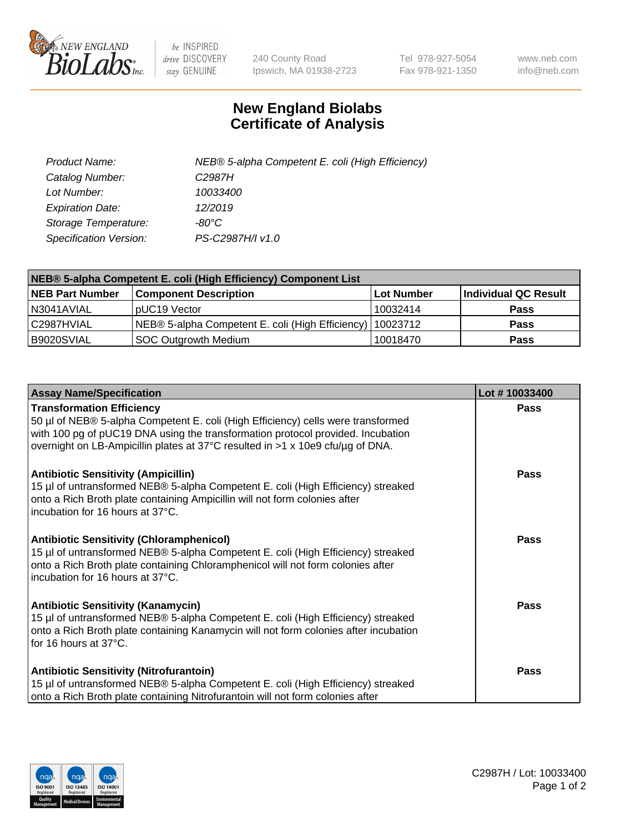

 $be$  INSPIRED drive DISCOVERY stay GENUINE

240 County Road Ipswich, MA 01938-2723 Tel 978-927-5054 Fax 978-921-1350 www.neb.com info@neb.com

## **New England Biolabs Certificate of Analysis**

| Product Name:                 | NEB® 5-alpha Competent E. coli (High Efficiency) |
|-------------------------------|--------------------------------------------------|
| Catalog Number:               | C <sub>2987</sub> H                              |
| Lot Number:                   | 10033400                                         |
| <b>Expiration Date:</b>       | 12/2019                                          |
| Storage Temperature:          | -80°C                                            |
| <b>Specification Version:</b> | PS-C2987H/I v1.0                                 |

| NEB® 5-alpha Competent E. coli (High Efficiency) Component List |                                                  |            |                      |  |
|-----------------------------------------------------------------|--------------------------------------------------|------------|----------------------|--|
| <b>NEB Part Number</b>                                          | <b>Component Description</b>                     | Lot Number | Individual QC Result |  |
| N3041AVIAL                                                      | pUC19 Vector                                     | 10032414   | <b>Pass</b>          |  |
| C2987HVIAL                                                      | NEB® 5-alpha Competent E. coli (High Efficiency) | 10023712   | <b>Pass</b>          |  |
| B9020SVIAL                                                      | SOC Outgrowth Medium                             | 10018470   | <b>Pass</b>          |  |

| <b>Assay Name/Specification</b>                                                                                                                                                                                                                                                           | Lot #10033400 |
|-------------------------------------------------------------------------------------------------------------------------------------------------------------------------------------------------------------------------------------------------------------------------------------------|---------------|
| <b>Transformation Efficiency</b><br>50 µl of NEB® 5-alpha Competent E. coli (High Efficiency) cells were transformed<br>with 100 pg of pUC19 DNA using the transformation protocol provided. Incubation<br>overnight on LB-Ampicillin plates at 37°C resulted in >1 x 10e9 cfu/µg of DNA. | <b>Pass</b>   |
| <b>Antibiotic Sensitivity (Ampicillin)</b><br>15 µl of untransformed NEB® 5-alpha Competent E. coli (High Efficiency) streaked<br>onto a Rich Broth plate containing Ampicillin will not form colonies after<br>incubation for 16 hours at 37°C.                                          | Pass          |
| <b>Antibiotic Sensitivity (Chloramphenicol)</b><br>15 µl of untransformed NEB® 5-alpha Competent E. coli (High Efficiency) streaked<br>onto a Rich Broth plate containing Chloramphenicol will not form colonies after<br>incubation for 16 hours at 37°C.                                | Pass          |
| <b>Antibiotic Sensitivity (Kanamycin)</b><br>15 µl of untransformed NEB® 5-alpha Competent E. coli (High Efficiency) streaked<br>onto a Rich Broth plate containing Kanamycin will not form colonies after incubation<br>for 16 hours at 37°C.                                            | Pass          |
| <b>Antibiotic Sensitivity (Nitrofurantoin)</b><br>15 µl of untransformed NEB® 5-alpha Competent E. coli (High Efficiency) streaked<br>onto a Rich Broth plate containing Nitrofurantoin will not form colonies after                                                                      | <b>Pass</b>   |